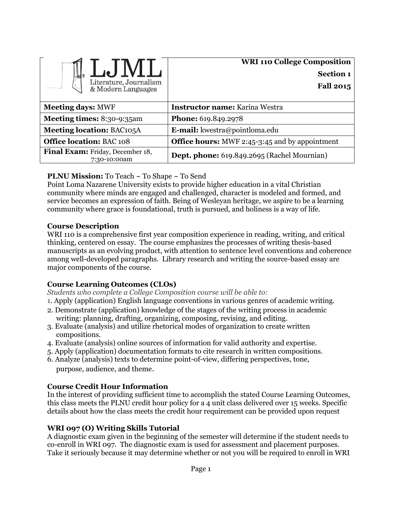| Literature, Journalism<br>& Modern Languages            | <b>WRI 110 College Composition</b><br><b>Section 1</b><br><b>Fall 2015</b> |
|---------------------------------------------------------|----------------------------------------------------------------------------|
| <b>Meeting days: MWF</b>                                | Instructor name: Karina Westra                                             |
| Meeting times: 8:30-9:35am                              | <b>Phone:</b> 619.849.2978                                                 |
| <b>Meeting location: BAC105A</b>                        | <b>E-mail:</b> kwestra@pointloma.edu                                       |
| <b>Office location: BAC 108</b>                         | <b>Office hours:</b> MWF 2:45-3:45 and by appointment                      |
| <b>Final Exam:</b> Friday, December 18,<br>7:30-10:00am | Dept. phone: 619.849.2695 (Rachel Mournian)                                |

# **PLNU Mission:** To Teach ~ To Shape ~ To Send

Point Loma Nazarene University exists to provide higher education in a vital Christian community where minds are engaged and challenged, character is modeled and formed, and service becomes an expression of faith. Being of Wesleyan heritage, we aspire to be a learning community where grace is foundational, truth is pursued, and holiness is a way of life.

# **Course Description**

WRI 110 is a comprehensive first year composition experience in reading, writing, and critical thinking, centered on essay. The course emphasizes the processes of writing thesis-based manuscripts as an evolving product, with attention to sentence level conventions and coherence among well-developed paragraphs. Library research and writing the source-based essay are major components of the course.

# **Course Learning Outcomes (CLOs)**

*Students who complete a College Composition course will be able to:*

1. Apply (application) English language conventions in various genres of academic writing.

- 2. Demonstrate (application) knowledge of the stages of the writing process in academic writing: planning, drafting, organizing, composing, revising, and editing.
- 3. Evaluate (analysis) and utilize rhetorical modes of organization to create written compositions.
- 4. Evaluate (analysis) online sources of information for valid authority and expertise.
- 5. Apply (application) documentation formats to cite research in written compositions.
- 6. Analyze (analysis) texts to determine point-of-view, differing perspectives, tone, purpose, audience, and theme.

# **Course Credit Hour Information**

In the interest of providing sufficient time to accomplish the stated Course Learning Outcomes, this class meets the PLNU credit hour policy for a 4 unit class delivered over 15 weeks. Specific details about how the class meets the credit hour requirement can be provided upon request

# **WRI 097 (O) Writing Skills Tutorial**

A diagnostic exam given in the beginning of the semester will determine if the student needs to co-enroll in WRI 097. The diagnostic exam is used for assessment and placement purposes. Take it seriously because it may determine whether or not you will be required to enroll in WRI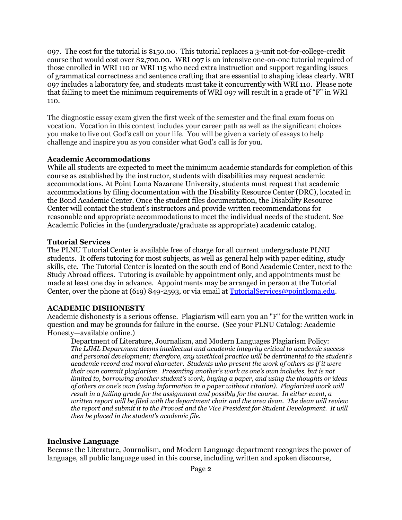097. The cost for the tutorial is \$150.00. This tutorial replaces a 3-unit not-for-college-credit course that would cost over \$2,700.00. WRI 097 is an intensive one-on-one tutorial required of those enrolled in WRI 110 or WRI 115 who need extra instruction and support regarding issues of grammatical correctness and sentence crafting that are essential to shaping ideas clearly. WRI 097 includes a laboratory fee, and students must take it concurrently with WRI 110. Please note that failing to meet the minimum requirements of WRI 097 will result in a grade of "F" in WRI 110.

The diagnostic essay exam given the first week of the semester and the final exam focus on vocation. Vocation in this context includes your career path as well as the significant choices you make to live out God's call on your life. You will be given a variety of essays to help challenge and inspire you as you consider what God's call is for you.

# **Academic Accommodations**

While all students are expected to meet the minimum academic standards for completion of this course as established by the instructor, students with disabilities may request academic accommodations. At Point Loma Nazarene University, students must request that academic accommodations by filing documentation with the Disability Resource Center (DRC), located in the Bond Academic Center. Once the student files documentation, the Disability Resource Center will contact the student's instructors and provide written recommendations for reasonable and appropriate accommodations to meet the individual needs of the student. See Academic Policies in the (undergraduate/graduate as appropriate) academic catalog.

#### **Tutorial Services**

The PLNU Tutorial Center is available free of charge for all current undergraduate PLNU students. It offers tutoring for most subjects, as well as general help with paper editing, study skills, etc. The Tutorial Center is located on the south end of Bond Academic Center, next to the Study Abroad offices. Tutoring is available by appointment only, and appointments must be made at least one day in advance. Appointments may be arranged in person at the Tutorial Center, over the phone at (619) 849-2593, or via email at [TutorialServices@pointloma.edu.](mailto:TutorialServices@pointloma.edu)

# **ACADEMIC DISHONESTY**

Academic dishonesty is a serious offense. Plagiarism will earn you an "F" for the written work in question and may be grounds for failure in the course. (See your PLNU Catalog: Academic Honesty—available online.)

Department of Literature, Journalism, and Modern Languages Plagiarism Policy: *The LJML Department deems intellectual and academic integrity critical to academic success and personal development; therefore, any unethical practice will be detrimental to the student's academic record and moral character. Students who present the work of others as if it were their own commit plagiarism. Presenting another's work as one's own includes, but is not limited to, borrowing another student's work, buying a paper, and using the thoughts or ideas of others as one's own (using information in a paper without citation). Plagiarized work will result in a failing grade for the assignment and possibly for the course. In either event, a written report will be filed with the department chair and the area dean. The dean will review the report and submit it to the Provost and the Vice President for Student Development. It will then be placed in the student's academic file.*

# **Inclusive Language**

Because the Literature, Journalism, and Modern Language department recognizes the power of language, all public language used in this course, including written and spoken discourse,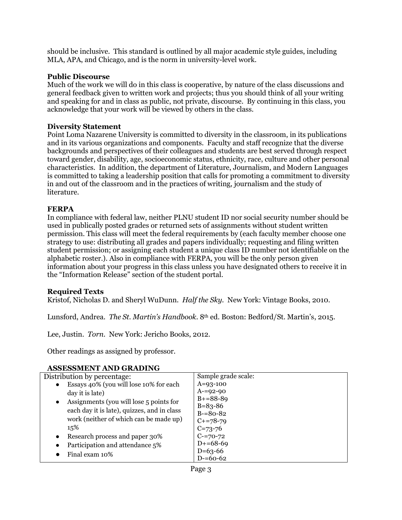should be inclusive. This standard is outlined by all major academic style guides, including MLA, APA, and Chicago, and is the norm in university-level work.

# **Public Discourse**

Much of the work we will do in this class is cooperative, by nature of the class discussions and general feedback given to written work and projects; thus you should think of all your writing and speaking for and in class as public, not private, discourse. By continuing in this class, you acknowledge that your work will be viewed by others in the class.

### **Diversity Statement**

Point Loma Nazarene University is committed to diversity in the classroom, in its publications and in its various organizations and components. Faculty and staff recognize that the diverse backgrounds and perspectives of their colleagues and students are best served through respect toward gender, disability, age, socioeconomic status, ethnicity, race, culture and other personal characteristics. In addition, the department of Literature, Journalism, and Modern Languages is committed to taking a leadership position that calls for promoting a commitment to diversity in and out of the classroom and in the practices of writing, journalism and the study of literature.

#### **FERPA**

In compliance with federal law, neither PLNU student ID nor social security number should be used in publically posted grades or returned sets of assignments without student written permission. This class will meet the federal requirements by (each faculty member choose one strategy to use: distributing all grades and papers individually; requesting and filing written student permission; or assigning each student a unique class ID number not identifiable on the alphabetic roster.). Also in compliance with FERPA, you will be the only person given information about your progress in this class unless you have designated others to receive it in the "Information Release" section of the student portal.

# **Required Texts**

Kristof, Nicholas D. and Sheryl WuDunn. *Half the Sky.* New York: Vintage Books, 2010.

Lunsford, Andrea. *The St. Martin's Handbook.* 8th ed. Boston: Bedford/St. Martin's, 2015.

Lee, Justin. *Torn.* New York: Jericho Books, 2012.

Other readings as assigned by professor.

# **ASSESSMENT AND GRADING**

| Distribution by percentage:                 | Sample grade scale: |
|---------------------------------------------|---------------------|
| Essays 40% (you will lose 10% for each      | $A=93-100$          |
| day it is late)                             | $A=92-90$           |
| Assignments (you will lose 5 points for     | $B+=88-89$          |
| $\bullet$                                   | $B = 83 - 86$       |
| each day it is late), quizzes, and in class | $B = 80 - 82$       |
| work (neither of which can be made up)      | $C+=78-79$          |
| 15%                                         | $C = 73 - 76$       |
| Research process and paper 30%              | $C = 70 - 72$       |
| Participation and attendance 5%             | $D+ = 68-69$        |
|                                             | $D=63-66$           |
| Final exam 10%                              | $D=60-62$           |
|                                             |                     |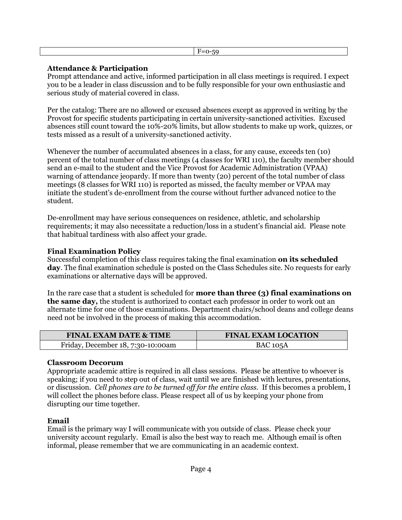# **Attendance & Participation**

Prompt attendance and active, informed participation in all class meetings is required. I expect you to be a leader in class discussion and to be fully responsible for your own enthusiastic and serious study of material covered in class.

Per the catalog: There are no allowed or excused absences except as approved in writing by the Provost for specific students participating in certain university-sanctioned activities. Excused absences still count toward the 10%-20% limits, but allow students to make up work, quizzes, or tests missed as a result of a university-sanctioned activity.

Whenever the number of accumulated absences in a class, for any cause, exceeds ten (10) percent of the total number of class meetings (4 classes for WRI 110), the faculty member should send an e-mail to the student and the Vice Provost for Academic Administration (VPAA) warning of attendance jeopardy. If more than twenty (20) percent of the total number of class meetings (8 classes for WRI 110) is reported as missed, the faculty member or VPAA may initiate the student's de-enrollment from the course without further advanced notice to the student.

De-enrollment may have serious consequences on residence, athletic, and scholarship requirements; it may also necessitate a reduction/loss in a student's financial aid. Please note that habitual tardiness with also affect your grade.

# **Final Examination Policy**

Successful completion of this class requires taking the final examination **on its scheduled day**. The final examination schedule is posted on the Class Schedules site. No requests for early examinations or alternative days will be approved.

In the rare case that a student is scheduled for **more than three (3) final examinations on the same day,** the student is authorized to contact each professor in order to work out an alternate time for one of those examinations. Department chairs/school deans and college deans need not be involved in the process of making this accommodation.

| <b>FINAL EXAM DATE &amp; TIME</b> | <b>FINAL EXAM LOCATION</b> |  |
|-----------------------------------|----------------------------|--|
| Friday, December 18, 7:30-10:00am | <b>BAC 105A</b>            |  |

#### **Classroom Decorum**

Appropriate academic attire is required in all class sessions. Please be attentive to whoever is speaking; if you need to step out of class, wait until we are finished with lectures, presentations, or discussion*. Cell phones are to be turned off for the entire class.* If this becomes a problem, I will collect the phones before class. Please respect all of us by keeping your phone from disrupting our time together.

# **Email**

L

Email is the primary way I will communicate with you outside of class. Please check your university account regularly. Email is also the best way to reach me. Although email is often informal, please remember that we are communicating in an academic context.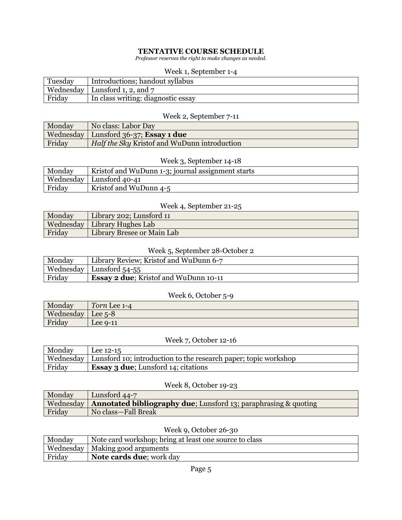### **TENTATIVE COURSE SCHEDULE**

*Professor reserves the right to make changes as needed.*

#### Week 1, September 1-4

| Tuesday | Introductions; handout syllabus    |
|---------|------------------------------------|
|         | Wednesday   Lunsford 1, 2, and $7$ |
| Friday  | In class writing: diagnostic essay |

# Week 2, September 7-11

| Monday | No class: Labor Day                                 |
|--------|-----------------------------------------------------|
|        | Wednesday   Lunsford 36-37; Essay 1 due             |
| Friday | <i>Half the Sky Kristof and WuDunn introduction</i> |

# Week 3, September 14-18

| Monday | Kristof and WuDunn 1-3; journal assignment starts |
|--------|---------------------------------------------------|
|        | Wednesday   Lunsford 40-41                        |
| Friday | Kristof and WuDunn 4-5                            |

# Week 4, September 21-25

| Monday | Library 202; Lunsford 11       |
|--------|--------------------------------|
|        | Wednesday   Library Hughes Lab |
| Friday | Library Bresee or Main Lab     |

# Week 5, September 28-October 2

| Monday | Library Review; Kristof and WuDunn 6-7        |
|--------|-----------------------------------------------|
|        | Wednesday   Lunsford 54-55                    |
| Friday | <b>Essay 2 due</b> ; Kristof and WuDunn 10-11 |

#### Week 6, October 5-9

| Monday    | Torn Lee 1-4 |
|-----------|--------------|
| Wednesday | Lee $5-8$    |
| Friday    | Lee $9-11$   |

# Week 7, October 12-16

| Monday | Lee $12-15$                                                                 |
|--------|-----------------------------------------------------------------------------|
|        | Wednesday   Lunsford 10; introduction to the research paper; topic workshop |
| Friday | <b>Essay 3 due</b> ; Lunsford 14; citations                                 |

# Week 8, October 19-23

| Monday | Lunsford 44-7                                                                       |
|--------|-------------------------------------------------------------------------------------|
|        | Wednesday   <b>Annotated bibliography due</b> ; Lunsford 13; paraphrasing & quoting |
| Friday | No class-Fall Break                                                                 |

# Week 9, October 26-30

| Monday | Note card workshop; bring at least one source to class |
|--------|--------------------------------------------------------|
|        | Wednesday   Making good arguments                      |
| Friday | <b>Note cards due</b> ; work day                       |